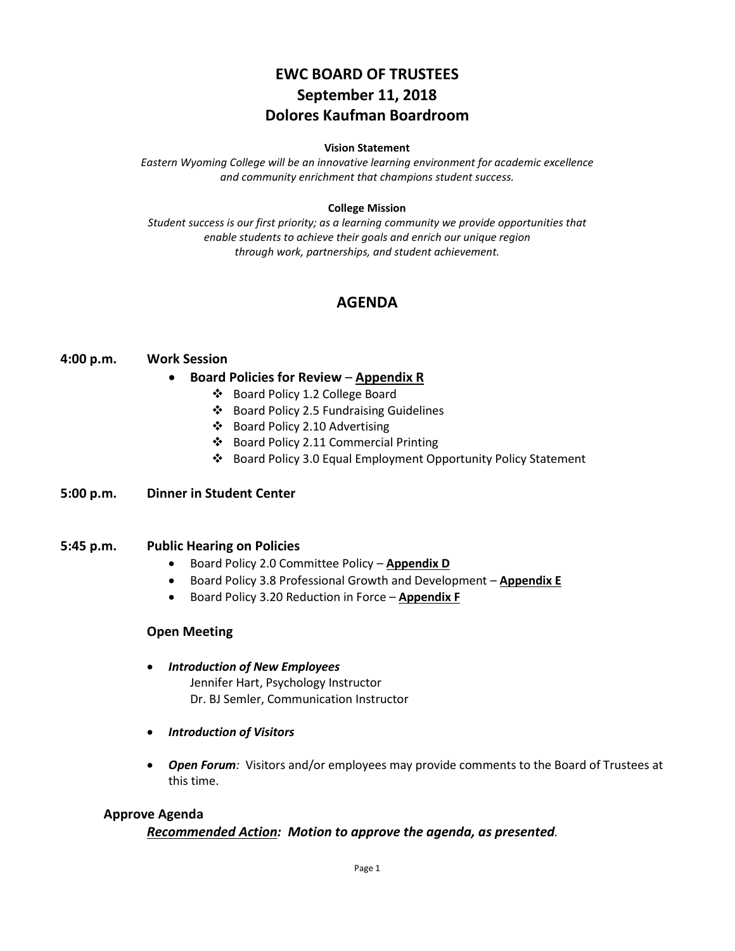# **EWC BOARD OF TRUSTEES September 11, 2018 Dolores Kaufman Boardroom**

#### **Vision Statement**

*Eastern Wyoming College will be an innovative learning environment for academic excellence and community enrichment that champions student success.*

### **College Mission**

*Student success is our first priority; as a learning community we provide opportunities that enable students to achieve their goals and enrich our unique region through work, partnerships, and student achievement.*

# **AGENDA**

### **4:00 p.m. Work Session**

### • **Board Policies for Review** – **Appendix R**

- Board Policy 1.2 College Board
- Board Policy 2.5 Fundraising Guidelines
- Board Policy 2.10 Advertising
- Board Policy 2.11 Commercial Printing
- Board Policy 3.0 Equal Employment Opportunity Policy Statement

### **5:00 p.m. Dinner in Student Center**

### **5:45 p.m. Public Hearing on Policies**

- Board Policy 2.0 Committee Policy **Appendix D**
- Board Policy 3.8 Professional Growth and Development **Appendix E**
- Board Policy 3.20 Reduction in Force **Appendix F**

### **Open Meeting**

- *Introduction of New Employees* Jennifer Hart, Psychology Instructor Dr. BJ Semler, Communication Instructor
- *Introduction of Visitors*
- *Open Forum:* Visitors and/or employees may provide comments to the Board of Trustees at this time.

### **Approve Agenda**

### *Recommended Action: Motion to approve the agenda, as presented.*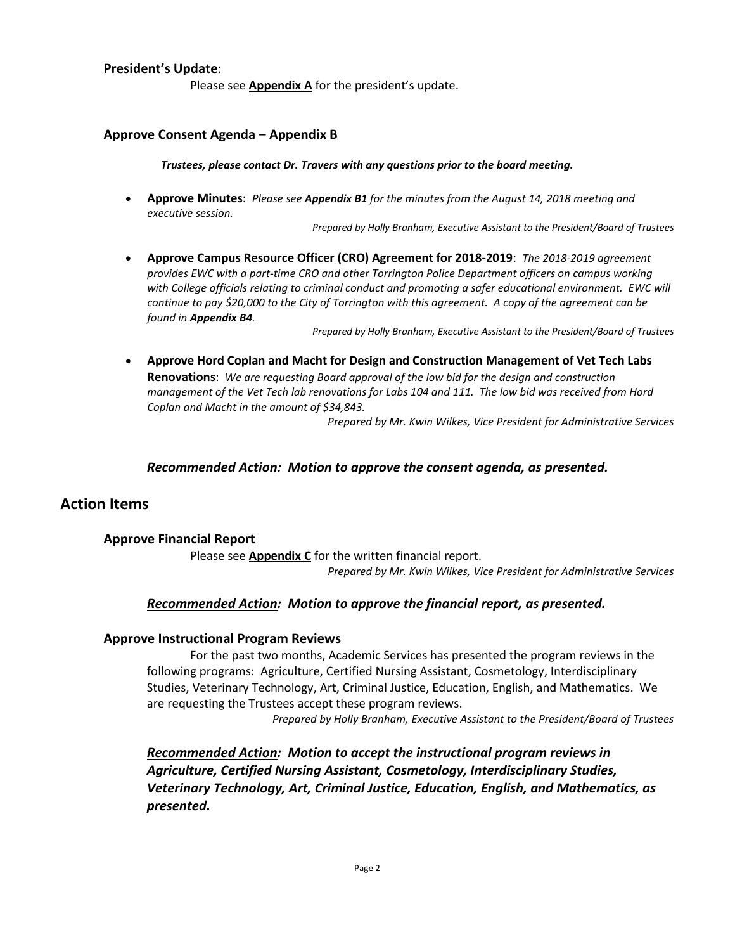### **President's Update**:

Please see **Appendix A** for the president's update.

### **Approve Consent Agenda** – **Appendix B**

*Trustees, please contact Dr. Travers with any questions prior to the board meeting.*

• **Approve Minutes**: *Please see Appendix B1 for the minutes from the August 14, 2018 meeting and executive session.*

*Prepared by Holly Branham, Executive Assistant to the President/Board of Trustees*

• **Approve Campus Resource Officer (CRO) Agreement for 2018-2019**: *The 2018-2019 agreement provides EWC with a part-time CRO and other Torrington Police Department officers on campus working*  with College officials relating to criminal conduct and promoting a safer educational environment. EWC will *continue to pay \$20,000 to the City of Torrington with this agreement. A copy of the agreement can be found in Appendix B4.*

*Prepared by Holly Branham, Executive Assistant to the President/Board of Trustees*

• **Approve Hord Coplan and Macht for Design and Construction Management of Vet Tech Labs Renovations**: *We are requesting Board approval of the low bid for the design and construction management of the Vet Tech lab renovations for Labs 104 and 111. The low bid was received from Hord Coplan and Macht in the amount of \$34,843.*

*Prepared by Mr. Kwin Wilkes, Vice President for Administrative Services*

### *Recommended Action: Motion to approve the consent agenda, as presented.*

# **Action Items**

### **Approve Financial Report**

Please see **Appendix C** for the written financial report. *Prepared by Mr. Kwin Wilkes, Vice President for Administrative Services*

### *Recommended Action: Motion to approve the financial report, as presented.*

### **Approve Instructional Program Reviews**

For the past two months, Academic Services has presented the program reviews in the following programs: Agriculture, Certified Nursing Assistant, Cosmetology, Interdisciplinary Studies, Veterinary Technology, Art, Criminal Justice, Education, English, and Mathematics. We are requesting the Trustees accept these program reviews.

*Prepared by Holly Branham, Executive Assistant to the President/Board of Trustees*

*Recommended Action: Motion to accept the instructional program reviews in Agriculture, Certified Nursing Assistant, Cosmetology, Interdisciplinary Studies, Veterinary Technology, Art, Criminal Justice, Education, English, and Mathematics, as presented.*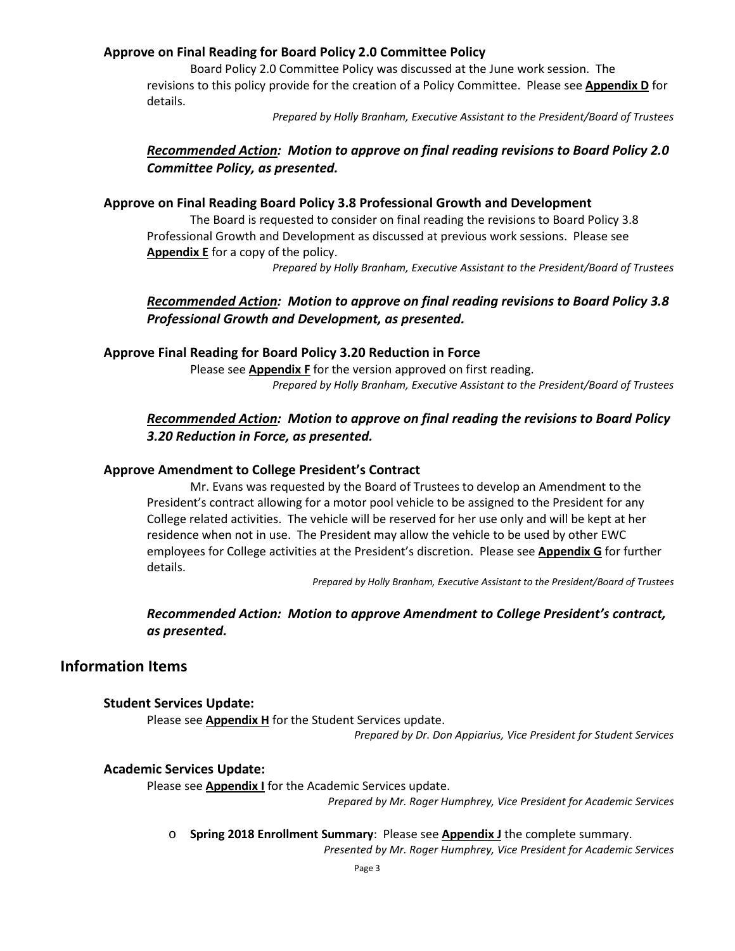# **Approve on Final Reading for Board Policy 2.0 Committee Policy**

Board Policy 2.0 Committee Policy was discussed at the June work session. The revisions to this policy provide for the creation of a Policy Committee. Please see **Appendix D** for details.

*Prepared by Holly Branham, Executive Assistant to the President/Board of Trustees*

# *Recommended Action: Motion to approve on final reading revisions to Board Policy 2.0 Committee Policy, as presented.*

### **Approve on Final Reading Board Policy 3.8 Professional Growth and Development**

The Board is requested to consider on final reading the revisions to Board Policy 3.8 Professional Growth and Development as discussed at previous work sessions. Please see **Appendix E** for a copy of the policy.

*Prepared by Holly Branham, Executive Assistant to the President/Board of Trustees*

# *Recommended Action: Motion to approve on final reading revisions to Board Policy 3.8 Professional Growth and Development, as presented.*

### **Approve Final Reading for Board Policy 3.20 Reduction in Force**

Please see **Appendix F** for the version approved on first reading. *Prepared by Holly Branham, Executive Assistant to the President/Board of Trustees*

# *Recommended Action: Motion to approve on final reading the revisions to Board Policy 3.20 Reduction in Force, as presented.*

## **Approve Amendment to College President's Contract**

Mr. Evans was requested by the Board of Trustees to develop an Amendment to the President's contract allowing for a motor pool vehicle to be assigned to the President for any College related activities. The vehicle will be reserved for her use only and will be kept at her residence when not in use. The President may allow the vehicle to be used by other EWC employees for College activities at the President's discretion. Please see **Appendix G** for further details.

*Prepared by Holly Branham, Executive Assistant to the President/Board of Trustees*

# *Recommended Action: Motion to approve Amendment to College President's contract, as presented.*

# **Information Items**

### **Student Services Update:**

Please see **Appendix H** for the Student Services update.

*Prepared by Dr. Don Appiarius, Vice President for Student Services*

### **Academic Services Update:**

Please see **Appendix I** for the Academic Services update.

*Prepared by Mr. Roger Humphrey, Vice President for Academic Services*

o **Spring 2018 Enrollment Summary**: Please see **Appendix J** the complete summary.

*Presented by Mr. Roger Humphrey, Vice President for Academic Services*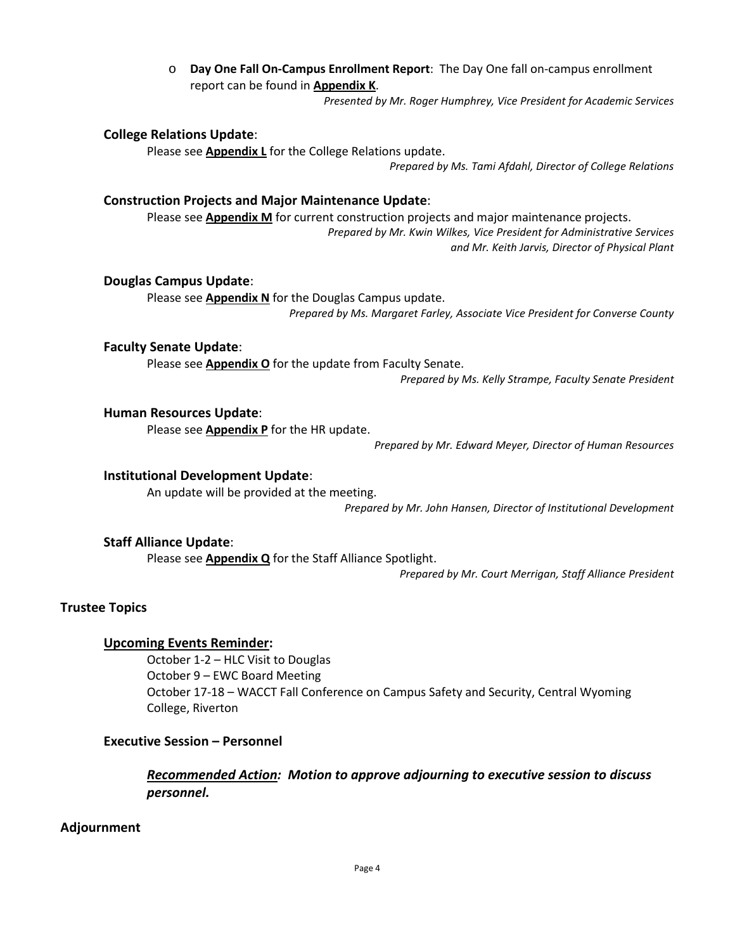o **Day One Fall On-Campus Enrollment Report**: The Day One fall on-campus enrollment report can be found in **Appendix K**.

*Presented by Mr. Roger Humphrey, Vice President for Academic Services*

#### **College Relations Update**:

Please see **Appendix L** for the College Relations update.

*Prepared by Ms. Tami Afdahl, Director of College Relations*

#### **Construction Projects and Major Maintenance Update**:

Please see **Appendix M** for current construction projects and major maintenance projects. *Prepared by Mr. Kwin Wilkes, Vice President for Administrative Services and Mr. Keith Jarvis, Director of Physical Plant*

#### **Douglas Campus Update**:

Please see **Appendix N** for the Douglas Campus update. *Prepared by Ms. Margaret Farley, Associate Vice President for Converse County*

#### **Faculty Senate Update**:

Please see **Appendix O** for the update from Faculty Senate.

*Prepared by Ms. Kelly Strampe, Faculty Senate President*

#### **Human Resources Update**:

Please see **Appendix P** for the HR update.

*Prepared by Mr. Edward Meyer, Director of Human Resources*

# **Institutional Development Update**:

An update will be provided at the meeting.

*Prepared by Mr. John Hansen, Director of Institutional Development*

#### **Staff Alliance Update**:

Please see **Appendix Q** for the Staff Alliance Spotlight.

*Prepared by Mr. Court Merrigan, Staff Alliance President*

#### **Trustee Topics**

#### **Upcoming Events Reminder:**

October 1-2 – HLC Visit to Douglas October 9 – EWC Board Meeting October 17-18 – WACCT Fall Conference on Campus Safety and Security, Central Wyoming College, Riverton

# **Executive Session – Personnel**

*Recommended Action: Motion to approve adjourning to executive session to discuss personnel.*

#### **Adjournment**